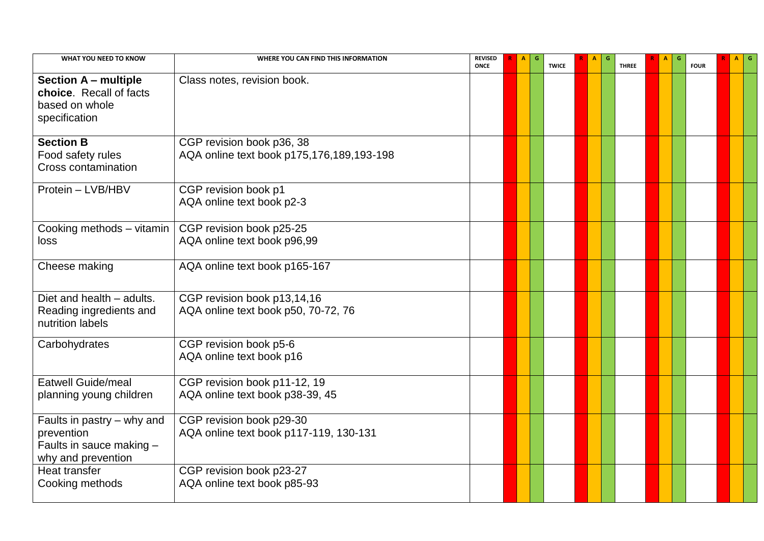| WHAT YOU NEED TO KNOW                                                                      | WHERE YOU CAN FIND THIS INFORMATION                                    | <b>REVISED</b><br><b>ONCE</b> | A | G | <b>TWICE</b> | $\mathbf{A}$ | G | <b>THREE</b> | A | G | <b>FOUR</b> | $A$ $G$ |  |
|--------------------------------------------------------------------------------------------|------------------------------------------------------------------------|-------------------------------|---|---|--------------|--------------|---|--------------|---|---|-------------|---------|--|
| <b>Section A - multiple</b><br>choice. Recall of facts<br>based on whole<br>specification  | Class notes, revision book.                                            |                               |   |   |              |              |   |              |   |   |             |         |  |
| <b>Section B</b><br>Food safety rules<br><b>Cross contamination</b>                        | CGP revision book p36, 38<br>AQA online text book p175,176,189,193-198 |                               |   |   |              |              |   |              |   |   |             |         |  |
| Protein - LVB/HBV                                                                          | CGP revision book p1<br>AQA online text book p2-3                      |                               |   |   |              |              |   |              |   |   |             |         |  |
| Cooking methods - vitamin<br>loss                                                          | CGP revision book p25-25<br>AQA online text book p96,99                |                               |   |   |              |              |   |              |   |   |             |         |  |
| Cheese making                                                                              | AQA online text book p165-167                                          |                               |   |   |              |              |   |              |   |   |             |         |  |
| Diet and health - adults.<br>Reading ingredients and<br>nutrition labels                   | CGP revision book p13,14,16<br>AQA online text book p50, 70-72, 76     |                               |   |   |              |              |   |              |   |   |             |         |  |
| Carbohydrates                                                                              | CGP revision book p5-6<br>AQA online text book p16                     |                               |   |   |              |              |   |              |   |   |             |         |  |
| <b>Eatwell Guide/meal</b><br>planning young children                                       | CGP revision book p11-12, 19<br>AQA online text book p38-39, 45        |                               |   |   |              |              |   |              |   |   |             |         |  |
| Faults in pastry – why and<br>prevention<br>Faults in sauce making -<br>why and prevention | CGP revision book p29-30<br>AQA online text book p117-119, 130-131     |                               |   |   |              |              |   |              |   |   |             |         |  |
| Heat transfer<br>Cooking methods                                                           | CGP revision book p23-27<br>AQA online text book p85-93                |                               |   |   |              |              |   |              |   |   |             |         |  |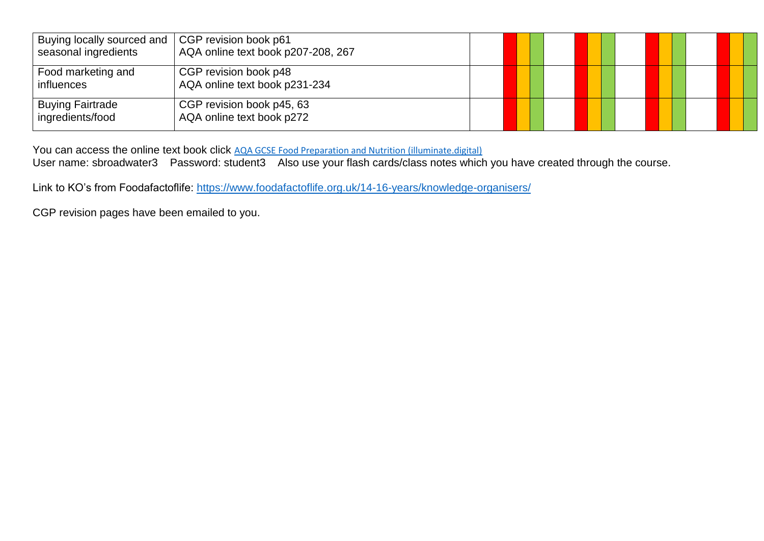| Buying locally sourced and  <br>seasonal ingredients | CGP revision book p61<br>AQA online text book p207-208, 267 |  |  |  |  |  |
|------------------------------------------------------|-------------------------------------------------------------|--|--|--|--|--|
| Food marketing and<br><i>influences</i>              | CGP revision book p48<br>AQA online text book p231-234      |  |  |  |  |  |
| <b>Buying Fairtrade</b><br>ingredients/food          | CGP revision book p45, 63<br>AQA online text book p272      |  |  |  |  |  |

You can access the online text book click [AQA GCSE Food Preparation and Nutrition \(illuminate.digital\)](https://illuminate.digital/aqafood/)

User name: sbroadwater3 Password: student3 Also use your flash cards/class notes which you have created through the course.

Link to KO's from Foodafactoflife:<https://www.foodafactoflife.org.uk/14-16-years/knowledge-organisers/>

CGP revision pages have been emailed to you.